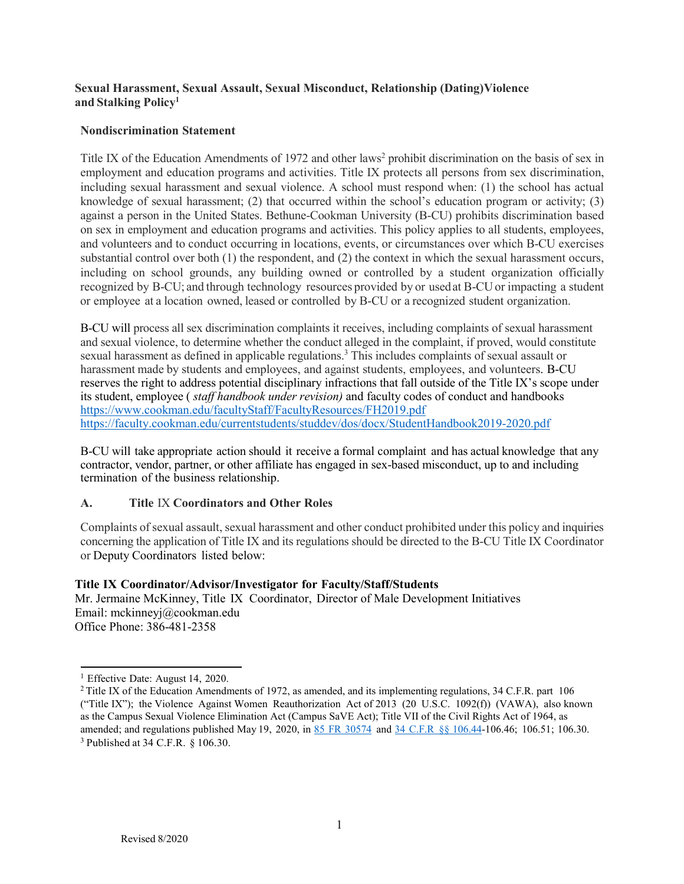### **Sexual Harassment, Sexual Assault, Sexual Misconduct, Relationship (Dating) Violence and Stalking Policy1**

### **Nondiscrimination Statement**

Title IX of the Education Amendments of 1972 and other laws<sup>2</sup> prohibit discrimination on the basis of sex in employment and education programs and activities. Title IX protects all persons from sex discrimination, including sexual harassment and sexual violence. A school must respond when: (1) the school has actual knowledge of sexual harassment; (2) that occurred within the school's education program or activity; (3) against a person in the United States. Bethune-Cookman University (B-CU) prohibits discrimination based on sex in employment and education programs and activities. This policy applies to all students, employees, and volunteers and to conduct occurring in locations, events, or circumstances over which B-CU exercises substantial control over both (1) the respondent, and (2) the context in which the sexual harassment occurs, including on school grounds, any building owned or controlled by a student organization officially recognized by B-CU; and through technology resources provided by or usedat B-CU or impacting a student or employee at a location owned, leased or controlled by B-CU or a recognized student organization.

B-CU will process all sex discrimination complaints it receives, including complaints of sexual harassment and sexual violence, to determine whether the conduct alleged in the complaint, if proved, would constitute sexual harassment as defined in applicable regulations.3 This includes complaints of sexual assault or harassment made by students and employees, and against students, employees, and volunteers. B-CU reserves the right to address potential disciplinary infractions that fall outside of the Title IX's scope under its student, employee ( *staff handbook under revision)* and faculty codes of conduct and handbooks <https://www.cookman.edu/facultyStaff/FacultyResources/FH2019.pdf> <https://faculty.cookman.edu/currentstudents/studdev/dos/docx/StudentHandbook2019-2020.pdf>

B-CU will take appropriate action should it receive a formal complaint and has actual knowledge that any contractor, vendor, partner, or other affiliate has engaged in sex-based misconduct, up to and including termination of the business relationship.

# **A. Title** IX **Coordinators and Other Roles**

Complaints of sexual assault, sexual harassment and other conduct prohibited under this policy and inquiries concerning the application of Title IX and its regulations should be directed to the B-CU Title IX Coordinator or Deputy Coordinators listed below:

### **Title IX Coordinator/Advisor/Investigator for Faculty/Staff/Students**

Mr. Jermaine McKinney, Title IX Coordinator, Director of Male Development Initiatives Email: [mckinneyj@cookman.edu](mailto:mckinneyj@cookman.edu) Office Phone: [386-481-2358](tel:386-481-2358)

<sup>&</sup>lt;sup>1</sup> Effective Date: August 14, 2020.

<sup>&</sup>lt;sup>2</sup> Title IX of the Education Amendments of 1972, as amended, and its implementing regulations, 34 C.F.R. part 106 ("Title IX"); the Violence Against Women Reauthorization Act of 2013 (20 U.S.C. 1092(f)) (VAWA), also known as the Campus Sexual Violence Elimination Act (Campus SaVE Act); Title VII of the Civil Rights Act of 1964, as amended; and regulations published May 19, 2020, in 85 FR [30574](https://www.govinfo.gov/link/fr/85/30574) and 34 C.F.R §§ [106.44-1](https://www.ecfr.gov/cgi-bin/text-idx?SID=5a83e6c9a4b951e47ebfa638eac58ea3&mc=true&node=20200519y1.25)06.46; 106.51; 106.30. 3 Published at 34 C.F.R. § 106.30.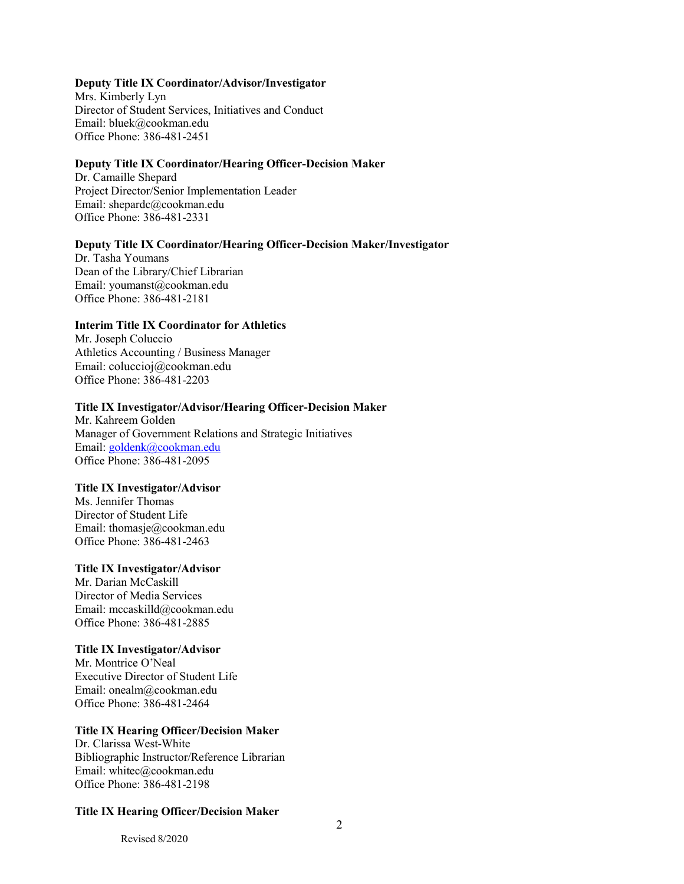#### **Deputy Title IX Coordinator/Advisor/Investigator**

Mrs. Kimberly Lyn Director of Student Services, Initiatives and Conduct Email: [bluek@cookman.edu](mailto:bluek@cookman.edu) Office Phone: [386-481-2451](tel:386-481-2451)

#### **Deputy Title IX Coordinator/Hearing Officer-Decision Maker**

Dr. Camaille Shepard [Project Director/Senior Implementation Leader](https://secure.paycor.com/Perform/Employee/41573/94715473999116#Position) Email: [shepardc@cookman.edu](mailto:shepardc@cookman.edu) Office Phone: [386-481-2331](tel:386-481-2331)

#### **Deputy Title IX Coordinator/Hearing Officer-Decision Maker/Investigator**

Dr. Tasha Youmans Dean of the Library/Chief Librarian Email: [youmanst@cookman.edu](mailto:youmanst@cookman.edu) Office Phone: [386-481-2181](tel:386-481-2181)

#### **Interim Title IX Coordinator for Athletics**

Mr. Joseph Coluccio Athletics Accounting / Business Manager Email: [coluccioj@cookman.edu](mailto:coluccioj@cookman.edu) Office Phone: 386-481-2203

#### **Title IX Investigator/Advisor/Hearing Officer-Decision Maker**

Mr. Kahreem Golden Manager of Government Relations and Strategic Initiatives Email: [goldenk@cookman.edu](mailto:goldenk@cookman.edu) Office Phone: 386-481-2095

#### **Title IX Investigator/Advisor**

Ms. Jennifer Thomas Director of Student Life Email: [thomasje@cookman.edu](mailto:thomasje@cookman.edu) Office Phone: [386-481-2463](tel:386-481-2463)

#### **Title IX Investigator/Advisor**

Mr. Darian McCaskill Director of Media Services Email: [mccaskilld@cookman.edu](mailto:mccaskilld@cookman.edu) Office Phone: [386-481-2885](tel:386-481-2885)

#### **Title IX Investigator/Advisor**

Mr. Montrice O'Neal Executive Director of Student Life Email: [onealm@cookman.edu](mailto:onealm@cookman.edu) Office Phone: [386-481-2464](tel:386-481-2464)

#### **Title IX Hearing Officer/Decision Maker**

Dr. Clarissa West-White Bibliographic Instructor/Reference Librarian Email: [whitec@cookman.edu](mailto:whitec@cookman.edu) Office Phone: [386-481-2198](tel:386-481-2198)

#### **Title IX Hearing Officer/Decision Maker**

Revised 8/2020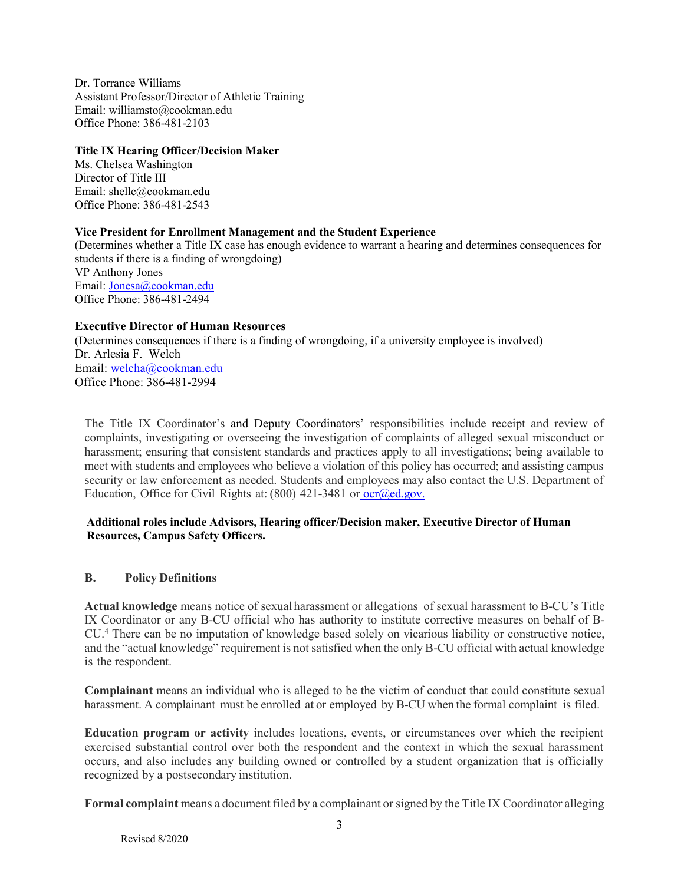Dr. Torrance Williams Assistant Professor/Director of Athletic Training Email: [williamsto@cookman.edu](mailto:williamsto@cookman.edu) Office Phone: [386-481-2103](tel:386-481-2103)

#### **Title IX Hearing Officer/Decision Maker**

Ms. Chelsea Washington Director of Title III Email: [shellc@cookman.edu](mailto:shellc@cookman.edu) Office Phone: [386-481-2543](tel:386-481-2543)

#### **Vice President for Enrollment Management and the Student Experience**

(Determines whether a Title IX case has enough evidence to warrant a hearing and determines consequences for students if there is a finding of wrongdoing) VP Anthony Jones Email: [Jonesa@cookman.edu](mailto:Jonesa@cookman.edu) Office Phone: 386-481-2494

### **Executive Director of Human Resources**

(Determines consequences if there is a finding of wrongdoing, if a university employee is involved) Dr. Arlesia F. Welch Email: [welcha@cookman.edu](mailto:welcha@cookman.edu) Office Phone: 386-481-2994

The Title IX Coordinator's and Deputy Coordinators' responsibilities include receipt and review of complaints, investigating or overseeing the investigation of complaints of alleged sexual misconduct or harassment; ensuring that consistent standards and practices apply to all investigations; being available to meet with students and employees who believe a violation of this policy has occurred; and assisting campus security or law enforcement as needed. Students and employees may also contact the U.S. Department of Education, Office for Civil Rights at:  $(800)$  421-3481 or ocr $(\partial \text{ed.gov})$ .

### **Additional roles include Advisors, Hearing officer/Decision maker, Executive Director of Human Resources, Campus Safety Officers.**

### **B. Policy Definitions**

**Actual knowledge** means notice of sexual harassment or allegations of sexual harassment to B-CU's Title IX Coordinator or any B-CU official who has authority to institute corrective measures on behalf of B-CU.4 There can be no imputation of knowledge based solely on vicarious liability or constructive notice, and the "actual knowledge" requirement is not satisfied when the only B-CU official with actual knowledge is the respondent.

**Complainant** means an individual who is alleged to be the victim of conduct that could constitute sexual harassment. A complainant must be enrolled at or employed by B-CU when the formal complaint is filed.

**Education program or activity** includes locations, events, or circumstances over which the recipient exercised substantial control over both the respondent and the context in which the sexual harassment occurs, and also includes any building owned or controlled by a student organization that is officially recognized by a postsecondary institution.

**Formal complaint** means a document filed by a complainant or signed by the Title IX Coordinator alleging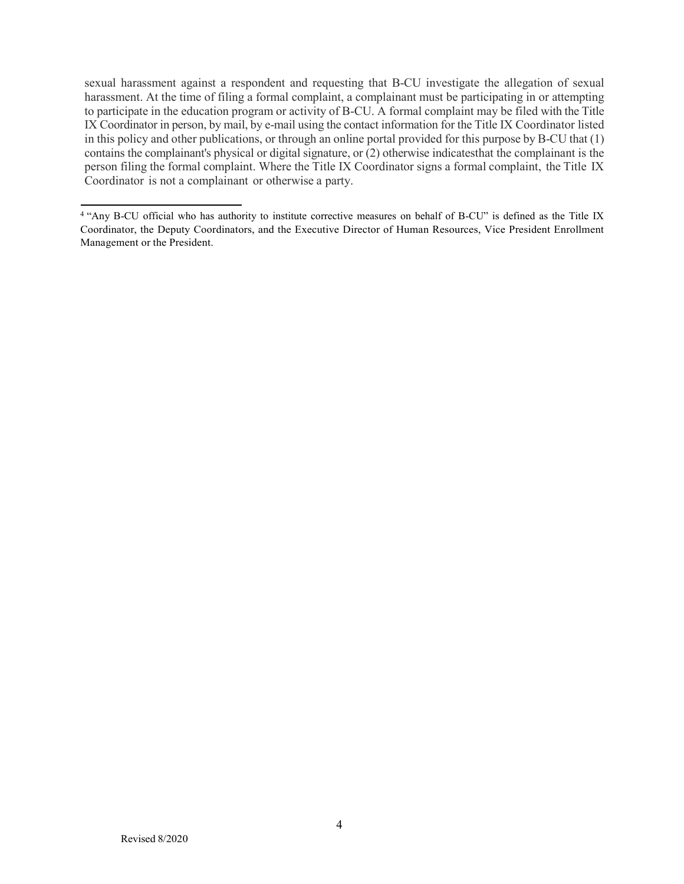sexual harassment against a respondent and requesting that B-CU investigate the allegation of sexual harassment. At the time of filing a formal complaint, a complainant must be participating in or attempting to participate in the education program or activity of B-CU. A formal complaint may be filed with the Title IX Coordinator in person, by mail, by e-mail using the contact information for the Title IX Coordinator listed in this policy and other publications, or through an online portal provided for this purpose by B-CU that (1) contains the complainant's physical or digital signature, or (2) otherwise indicatesthat the complainant is the person filing the formal complaint. Where the Title IX Coordinator signs a formal complaint, the Title IX Coordinator is not a complainant or otherwise a party.

<sup>&</sup>lt;sup>4</sup> "Any B-CU official who has authority to institute corrective measures on behalf of B-CU" is defined as the Title IX Coordinator, the Deputy Coordinators, and the Executive Director of Human Resources, Vice President Enrollment Management or the President.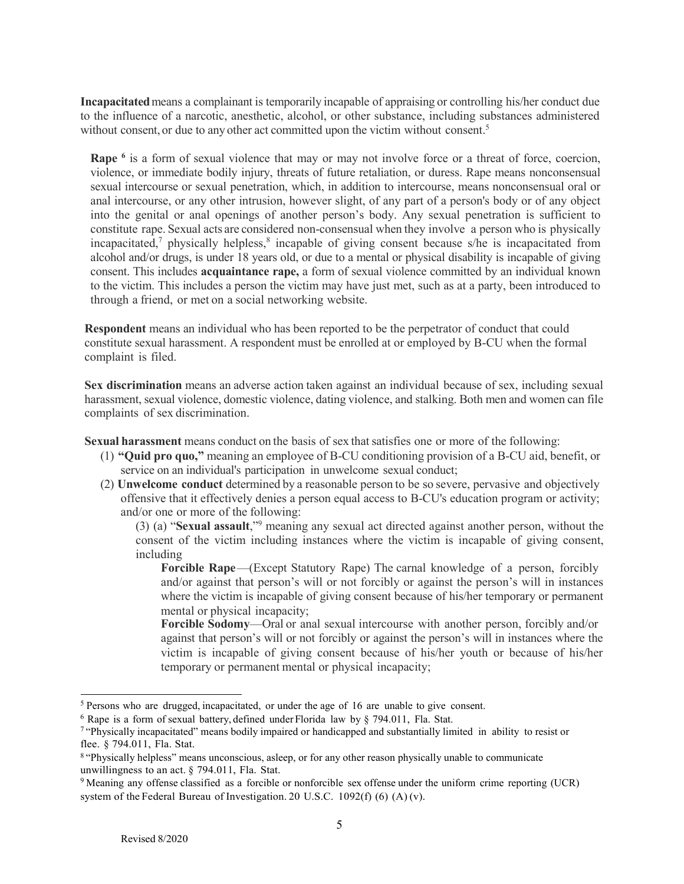**Incapacitated**means a complainant is temporarily incapable of appraising or controlling his/her conduct due to the influence of a narcotic, anesthetic, alcohol, or other substance, including substances administered without consent, or due to any other act committed upon the victim without consent.<sup>5</sup>

**Rape** <sup>6</sup> is a form of sexual violence that may or may not involve force or a threat of force, coercion, violence, or immediate bodily injury, threats of future retaliation, or duress. Rape means nonconsensual sexual intercourse or sexual penetration, which, in addition to intercourse, means nonconsensual oral or anal intercourse, or any other intrusion, however slight, of any part of a person's body or of any object into the genital or anal openings of another person's body. Any sexual penetration is sufficient to constitute rape. Sexual acts are considered non-consensual when they involve a person who is physically incapacitated,<sup>7</sup> physically helpless, $\frac{8}{3}$  incapable of giving consent because s/he is incapacitated from alcohol and/or drugs, is under 18 years old, or due to a mental or physical disability is incapable of giving consent. This includes **acquaintance rape,** a form of sexual violence committed by an individual known to the victim. This includes a person the victim may have just met, such as at a party, been introduced to through a friend, or met on a social networking website.

**Respondent** means an individual who has been reported to be the perpetrator of conduct that could constitute sexual harassment. A respondent must be enrolled at or employed by B-CU when the formal complaint is filed.

**Sex discrimination** means an adverse action taken against an individual because of sex, including sexual harassment, sexual violence, domestic violence, dating violence, and stalking. Both men and women can file complaints of sex discrimination.

**Sexual harassment** means conduct on the basis of sex thatsatisfies one or more of the following:

- (1) **"Quid pro quo,"** meaning an employee of B-CU conditioning provision of a B-CU aid, benefit, or service on an individual's participation in unwelcome sexual conduct;
- (2) **Unwelcome conduct** determined by a reasonable person to be so severe, pervasive and objectively offensive that it effectively denies a person equal access to B-CU's education program or activity; and/or one or more of the following:

(3) (a) "**Sexual assault**,"9 meaning any sexual act directed against another person, without the consent of the victim including instances where the victim is incapable of giving consent, including

**Forcible Rape—(Except Statutory Rape) The carnal knowledge of a person, forcibly** and/or against that person's will or not forcibly or against the person's will in instances where the victim is incapable of giving consent because of his/her temporary or permanent mental or physical incapacity:

**Forcible Sodomy**—Oral or anal sexual intercourse with another person, forcibly and/or against that person's will or not forcibly or against the person's will in instances where the victim is incapable of giving consent because of his/her youth or because of his/her temporary or permanent mental or physical incapacity;

<sup>5</sup> Persons who are drugged, incapacitated, or under the age of 16 are unable to give consent.

 $6$  Rape is a form of sexual battery, defined under Florida law by  $§$  794.011, Fla. Stat.

<sup>7</sup> "Physically incapacitated" means bodily impaired or handicapped and substantially limited in ability to resist or flee. § 794.011, Fla. Stat.

<sup>8</sup> "Physically helpless" means unconscious, asleep, or for any other reason physically unable to communicate unwillingness to an act. § 794.011, Fla. Stat.

<sup>9</sup> Meaning any offense classified as a forcible or nonforcible sex offense under the uniform crime reporting (UCR) system of the Federal Bureau of Investigation. 20 U.S.C. 1092(f) (6) (A) (v).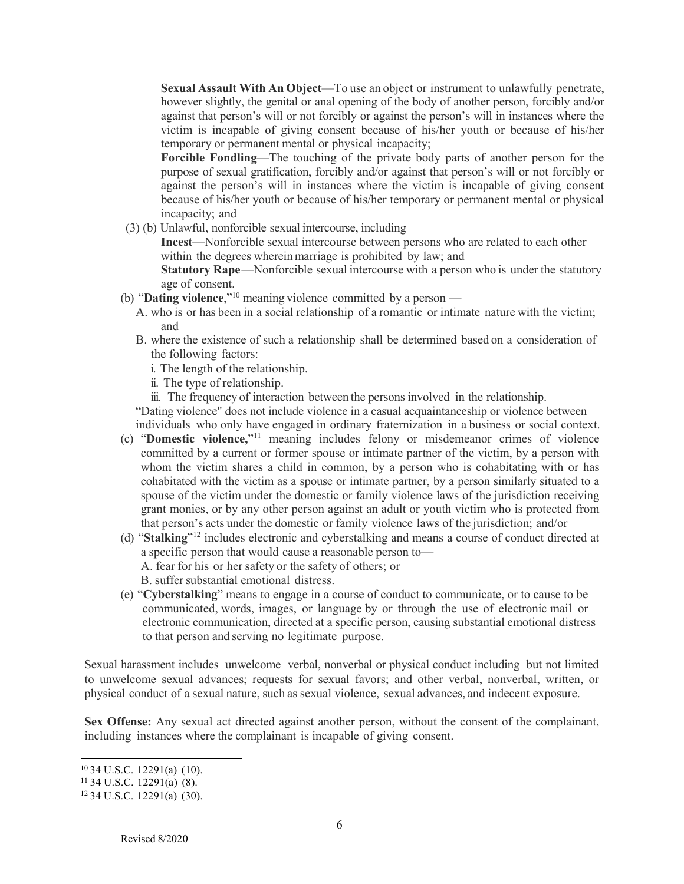**Sexual Assault With An Object**—To use an object or instrument to unlawfully penetrate, however slightly, the genital or anal opening of the body of another person, forcibly and/or against that person's will or not forcibly or against the person's will in instances where the victim is incapable of giving consent because of his/her youth or because of his/her temporary or permanent mental or physical incapacity;

**Forcible Fondling**—The touching of the private body parts of another person for the purpose of sexual gratification, forcibly and/or against that person's will or not forcibly or against the person's will in instances where the victim is incapable of giving consent because of his/her youth or because of his/her temporary or permanent mental or physical incapacity; and

(3) (b) Unlawful, nonforcible sexual intercourse, including

**Incest**—Nonforcible sexual intercourse between persons who are related to each other within the degrees wherein marriage is prohibited by law; and

**Statutory Rape**—Nonforcible sexual intercourse with a person who is under the statutory age of consent.

- (b) "**Dating violence**,"10 meaning violence committed by a person
	- A. who is or has been in a social relationship of a romantic or intimate nature with the victim; and
	- B. where the existence of such a relationship shall be determined based on a consideration of the following factors:
		- i. The length of the relationship.
		- ii. The type of relationship.
		- iii. The frequency of interaction between the persons involved in the relationship.

"Dating violence" does not include violence in a casual acquaintanceship or violence between individuals who only have engaged in ordinary fraternization in a business or social context.

- (c) "**Domestic violence,**"11 meaning includes felony or misdemeanor crimes of violence committed by a current or former spouse or intimate partner of the victim, by a person with whom the victim shares a child in common, by a person who is cohabitating with or has cohabitated with the victim as a spouse or intimate partner, by a person similarly situated to a spouse of the victim under the domestic or family violence laws of the jurisdiction receiving grant monies, or by any other person against an adult or youth victim who is protected from that person's acts under the domestic or family violence laws of the jurisdiction; and/or
- (d) "**Stalking**"12 includes electronic and cyberstalking and means a course of conduct directed at a specific person that would cause a reasonable person to— A. fear for his or her safety or the safety of others; or B. suffer substantial emotional distress.
- (e) "**Cyberstalking**" means to engage in a course of conduct to communicate, or to cause to be communicated, words, images, or language by or through the use of electronic mail or electronic communication, directed at a specific person, causing substantial emotional distress to that person and serving no legitimate purpose.

Sexual harassment includes unwelcome verbal, nonverbal or physical conduct including but not limited to unwelcome sexual advances; requests for sexual favors; and other verbal, nonverbal, written, or physical conduct of a sexual nature, such as sexual violence, sexual advances, and indecent exposure.

**Sex Offense:** Any sexual act directed against another person, without the consent of the complainant, including instances where the complainant is incapable of giving consent.

<sup>10</sup> 34 U.S.C. 12291(a) (10).

 $11$  34 U.S.C. 12291(a) (8).

<sup>12</sup> 34 U.S.C. 12291(a) (30).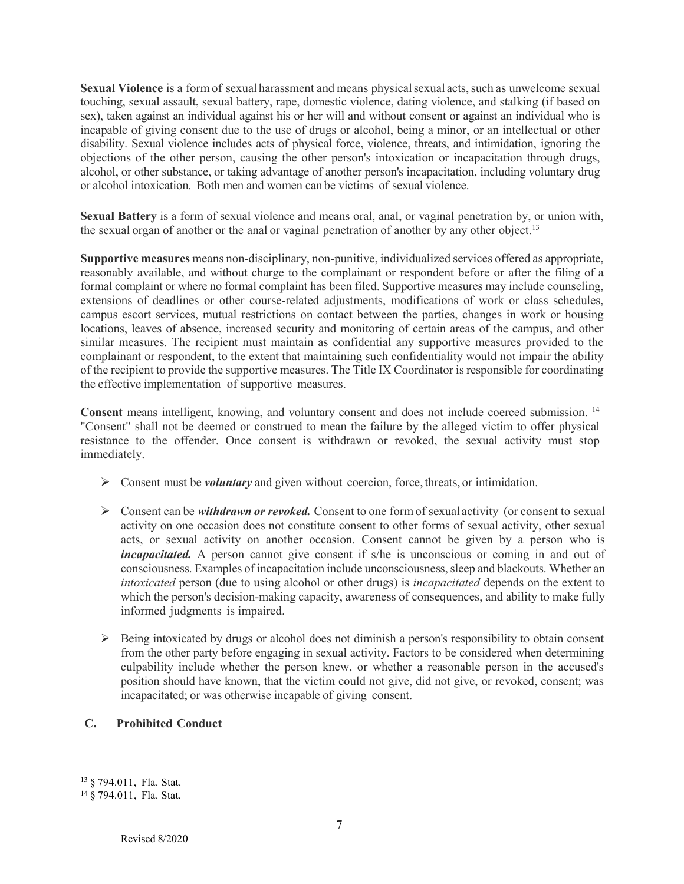**Sexual Violence** is a form of sexual harassment and means physical sexual acts, such as unwelcome sexual touching, sexual assault, sexual battery, rape, domestic violence, dating violence, and stalking (if based on sex), taken against an individual against his or her will and without consent or against an individual who is incapable of giving consent due to the use of drugs or alcohol, being a minor, or an intellectual or other disability. Sexual violence includes acts of physical force, violence, threats, and intimidation, ignoring the objections of the other person, causing the other person's intoxication or incapacitation through drugs, alcohol, or other substance, or taking advantage of another person's incapacitation, including voluntary drug or alcohol intoxication. Both men and women can be victims of sexual violence.

**Sexual Battery** is a form of sexual violence and means oral, anal, or vaginal penetration by, or union with, the sexual organ of another or the anal or vaginal penetration of another by any other object.<sup>13</sup>

**Supportive measures** means non-disciplinary, non-punitive, individualized services offered as appropriate, reasonably available, and without charge to the complainant or respondent before or after the filing of a formal complaint or where no formal complaint has been filed. Supportive measures may include counseling, extensions of deadlines or other course-related adjustments, modifications of work or class schedules, campus escort services, mutual restrictions on contact between the parties, changes in work or housing locations, leaves of absence, increased security and monitoring of certain areas of the campus, and other similar measures. The recipient must maintain as confidential any supportive measures provided to the complainant or respondent, to the extent that maintaining such confidentiality would not impair the ability of the recipient to provide the supportive measures. The Title IX Coordinator is responsible for coordinating the effective implementation of supportive measures.

**Consent** means intelligent, knowing, and voluntary consent and does not include coerced submission. 14 "Consent" shall not be deemed or construed to mean the failure by the alleged victim to offer physical resistance to the offender. Once consent is withdrawn or revoked, the sexual activity must stop immediately.

- $\triangleright$  Consent must be *voluntary* and given without coercion, force, threats, or intimidation.
- Consent can be *withdrawn or revoked.* Consent to one form of sexual activity (or consent to sexual activity on one occasion does not constitute consent to other forms of sexual activity, other sexual acts, or sexual activity on another occasion. Consent cannot be given by a person who is *incapacitated.* A person cannot give consent if s/he is unconscious or coming in and out of consciousness. Examples of incapacitation include unconsciousness, sleep and blackouts. Whether an *intoxicated* person (due to using alcohol or other drugs) is *incapacitated* depends on the extent to which the person's decision-making capacity, awareness of consequences, and ability to make fully informed judgments is impaired.
- $\triangleright$  Being intoxicated by drugs or alcohol does not diminish a person's responsibility to obtain consent from the other party before engaging in sexual activity. Factors to be considered when determining culpability include whether the person knew, or whether a reasonable person in the accused's position should have known, that the victim could not give, did not give, or revoked, consent; was incapacitated; or was otherwise incapable of giving consent.
- **C. Prohibited Conduct**

<sup>13</sup> § 794.011, Fla. Stat.

<sup>14</sup> § 794.011, Fla. Stat.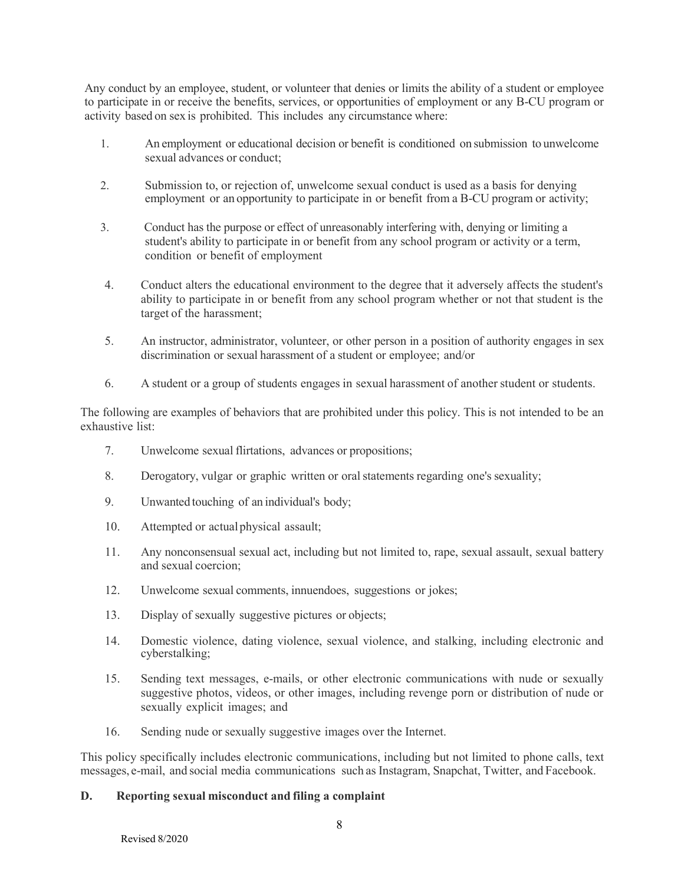Any conduct by an employee, student, or volunteer that denies or limits the ability of a student or employee to participate in or receive the benefits, services, or opportunities of employment or any B-CU program or activity based on sex is prohibited. This includes any circumstance where:

- 1. An employment or educational decision or benefit is conditioned on submission to unwelcome sexual advances or conduct;
- 2. Submission to, or rejection of, unwelcome sexual conduct is used as a basis for denying employment or an opportunity to participate in or benefit from a B-CU program or activity;
- 3. Conduct has the purpose or effect of unreasonably interfering with, denying or limiting a student's ability to participate in or benefit from any school program or activity or a term, condition or benefit of employment
- 4. Conduct alters the educational environment to the degree that it adversely affects the student's ability to participate in or benefit from any school program whether or not that student is the target of the harassment;
- 5. An instructor, administrator, volunteer, or other person in a position of authority engages in sex discrimination or sexual harassment of a student or employee; and/or
- 6. A student or a group of students engages in sexual harassment of another student or students.

The following are examples of behaviors that are prohibited under this policy. This is not intended to be an exhaustive list:

- 7. Unwelcome sexual flirtations, advances or propositions;
- 8. Derogatory, vulgar or graphic written or oralstatements regarding one's sexuality;
- 9. Unwanted touching of an individual's body;
- 10. Attempted or actualphysical assault;
- 11. Any nonconsensual sexual act, including but not limited to, rape, sexual assault, sexual battery and sexual coercion;
- 12. Unwelcome sexual comments, innuendoes, suggestions or jokes;
- 13. Display of sexually suggestive pictures or objects;
- 14. Domestic violence, dating violence, sexual violence, and stalking, including electronic and cyberstalking;
- 15. Sending text messages, e-mails, or other electronic communications with nude or sexually suggestive photos, videos, or other images, including revenge porn or distribution of nude or sexually explicit images; and
- 16. Sending nude or sexually suggestive images over the Internet.

This policy specifically includes electronic communications, including but not limited to phone calls, text messages, e-mail, and social media communications such as Instagram, Snapchat, Twitter, and Facebook.

### **D. Reporting sexual misconduct and filing a complaint**

Revised 8/2020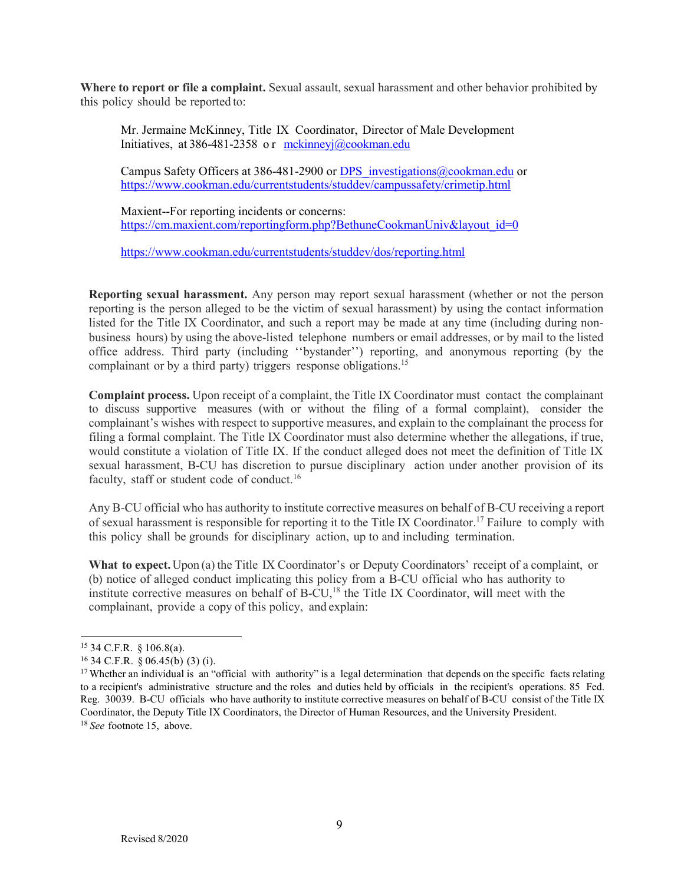Where to report or file a complaint. Sexual assault, sexual harassment and other behavior prohibited by this policy should be reported to:

Mr. Jermaine McKinney, Title IX Coordinator, Director of Male Development Initiatives, at 386-481-2358 or [mckinneyj@cookman.edu](mailto:mckinneyj@cookman.edu)

Campus Safety Officers at 386-481-2900 or [DPS\\_investigations@cookman.edu](mailto:DPS_investigations@cookman.edu) or <https://www.cookman.edu/currentstudents/studdev/campussafety/crimetip.html>

Maxient--For reporting incidents or concerns: [https://cm.maxient.com/reportingform.php?BethuneCookmanUniv&layout\\_id=0](https://cm.maxient.com/reportingform.php?BethuneCookmanUniv&layout_id=0)

<https://www.cookman.edu/currentstudents/studdev/dos/reporting.html>

**Reporting sexual harassment.** Any person may report sexual harassment (whether or not the person reporting is the person alleged to be the victim of sexual harassment) by using the contact information listed for the Title IX Coordinator, and such a report may be made at any time (including during nonbusiness hours) by using the above-listed telephone numbers or email addresses, or by mail to the listed office address. Third party (including ''bystander'') reporting, and anonymous reporting (by the complainant or by a third party) triggers response obligations.<sup>15</sup>

**Complaint process.** Upon receipt of a complaint, the Title IX Coordinator must contact the complainant to discuss supportive measures (with or without the filing of a formal complaint), consider the complainant's wishes with respect to supportive measures, and explain to the complainant the process for filing a formal complaint. The Title IX Coordinator must also determine whether the allegations, if true, would constitute a violation of Title IX. If the conduct alleged does not meet the definition of Title IX sexual harassment, B-CU has discretion to pursue disciplinary action under another provision of its faculty, staff or student code of conduct.<sup>16</sup>

Any B-CU official who has authority to institute corrective measures on behalf of B-CU receiving a report of sexual harassment is responsible for reporting it to the Title IX Coordinator.17 Failure to comply with this policy shall be grounds for disciplinary action, up to and including termination.

**What to expect.** Upon (a) the Title IX Coordinator's or Deputy Coordinators' receipt of a complaint, or (b) notice of alleged conduct implicating this policy from a B-CU official who has authority to institute corrective measures on behalf of  $B-CU<sub>18</sub>$  the Title IX Coordinator, will meet with the complainant, provide a copy of this policy, and explain:

<sup>15</sup> 34 C.F.R. § 106.8(a).

 $16$  34 C.F.R. § 06.45(b) (3) (i).

<sup>&</sup>lt;sup>17</sup> Whether an individual is an "official with authority" is a legal determination that depends on the specific facts relating to a recipient's administrative structure and the roles and duties held by officials in the recipient's operations. 85 Fed. Reg. 30039. B-CU officials who have authority to institute corrective measures on behalf of B-CU consist of the Title IX Coordinator, the Deputy Title IX Coordinators, the Director of Human Resources, and the University President. <sup>18</sup>*See* footnote 15, above.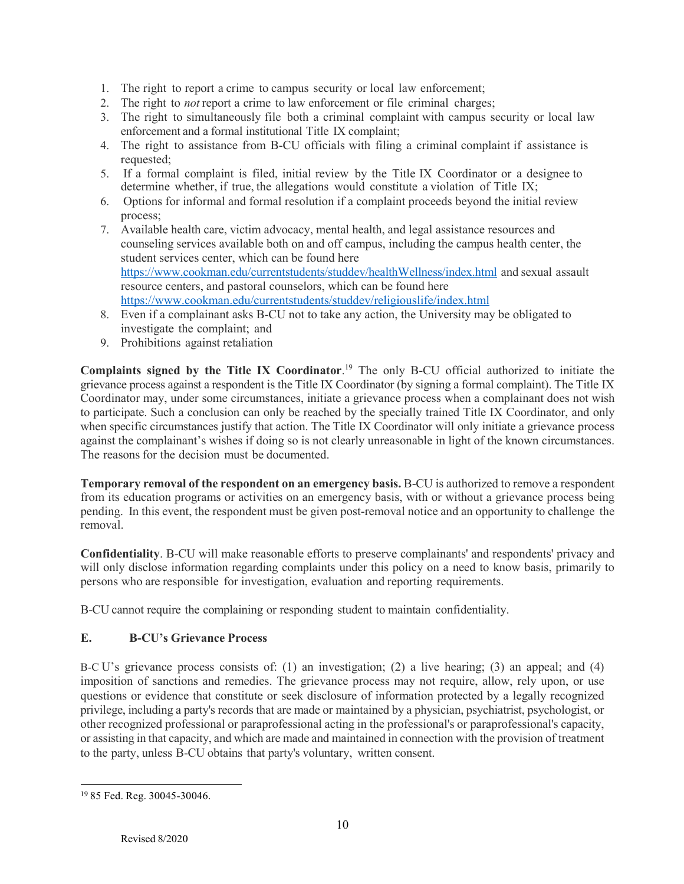- 1. The right to report a crime to campus security or local law enforcement;
- 2. The right to *not* report a crime to law enforcement or file criminal charges;
- 3. The right to simultaneously file both a criminal complaint with campus security or local law enforcement and a formal institutional Title IX complaint;
- 4. The right to assistance from B-CU officials with filing a criminal complaint if assistance is requested;
- 5. If a formal complaint is filed, initial review by the Title IX Coordinator or a designee to determine whether, if true, the allegations would constitute a violation of Title IX;
- 6. Options for informal and formal resolution if a complaint proceeds beyond the initial review process;
- 7. Available health care, victim advocacy, mental health, and legal assistance resources and counseling services available both on and off campus, including the campus health center, the student services center, which can be found here <https://www.cookman.edu/currentstudents/studdev/healthWellness/index.html> and sexual assault resource centers, and pastoral counselors, which can be found here <https://www.cookman.edu/currentstudents/studdev/religiouslife/index.html>
- 8. Even if a complainant asks B-CU not to take any action, the University may be obligated to investigate the complaint; and
- 9. Prohibitions against retaliation

**Complaints signed by the Title IX Coordinator**. <sup>19</sup> The only B-CU official authorized to initiate the grievance process against a respondent is the Title IX Coordinator (by signing a formal complaint). The Title IX Coordinator may, under some circumstances, initiate a grievance process when a complainant does not wish to participate. Such a conclusion can only be reached by the specially trained Title IX Coordinator, and only when specific circumstances justify that action. The Title IX Coordinator will only initiate a grievance process against the complainant's wishes if doing so is not clearly unreasonable in light of the known circumstances. The reasons for the decision must be documented.

**Temporary removal of the respondent on an emergency basis.** B-CU is authorized to remove a respondent from its education programs or activities on an emergency basis, with or without a grievance process being pending. In this event, the respondent must be given post-removal notice and an opportunity to challenge the removal.

**Confidentiality**. B-CU will make reasonable efforts to preserve complainants' and respondents' privacy and will only disclose information regarding complaints under this policy on a need to know basis, primarily to persons who are responsible for investigation, evaluation and reporting requirements.

B-CU cannot require the complaining or responding student to maintain confidentiality.

# **E. B-CU's Grievance Process**

B-C U's grievance process consists of: (1) an investigation; (2) a live hearing; (3) an appeal; and (4) imposition of sanctions and remedies. The grievance process may not require, allow, rely upon, or use questions or evidence that constitute or seek disclosure of information protected by a legally recognized privilege, including a party's records that are made or maintained by a physician, psychiatrist, psychologist, or other recognized professional or paraprofessional acting in the professional's or paraprofessional's capacity, or assisting in that capacity, and which are made and maintained in connection with the provision of treatment to the party, unless B-CU obtains that party's voluntary, written consent.

<sup>19</sup> 85 Fed. Reg. 30045-30046.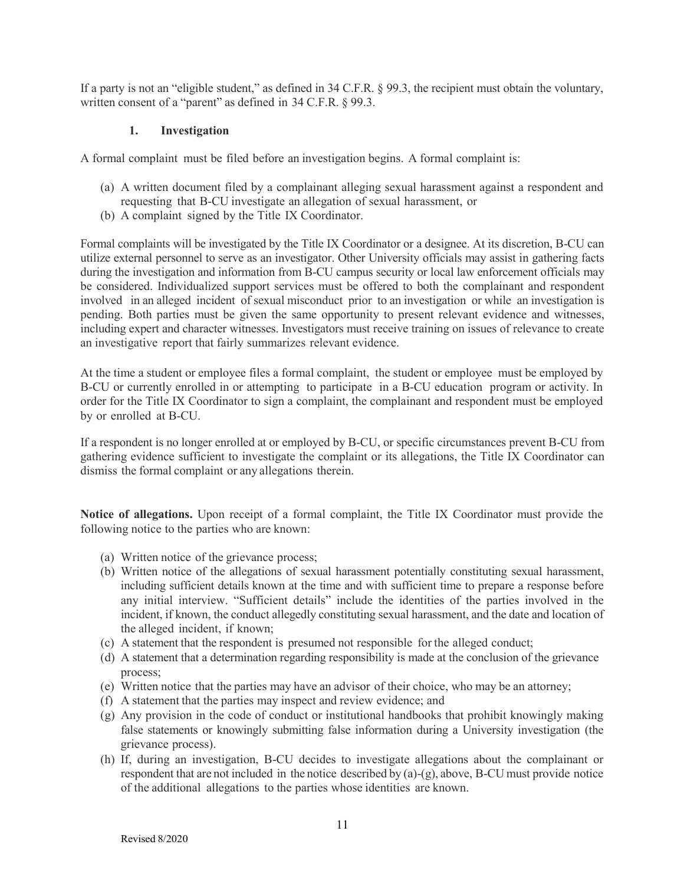If a party is not an "eligible student," as defined in 34 C.F.R. § 99.3, the recipient must obtain the voluntary, written consent of a "parent" as defined in 34 C.F.R. § 99.3.

### **1. Investigation**

A formal complaint must be filed before an investigation begins. A formal complaint is:

- (a) A written document filed by a complainant alleging sexual harassment against a respondent and requesting that B-CU investigate an allegation of sexual harassment, or
- (b) A complaint signed by the Title IX Coordinator.

Formal complaints will be investigated by the Title IX Coordinator or a designee. At its discretion, B-CU can utilize external personnel to serve as an investigator. Other University officials may assist in gathering facts during the investigation and information from B-CU campus security or local law enforcement officials may be considered. Individualized support services must be offered to both the complainant and respondent involved in an alleged incident of sexual misconduct prior to an investigation or while an investigation is pending. Both parties must be given the same opportunity to present relevant evidence and witnesses, including expert and character witnesses. Investigators must receive training on issues of relevance to create an investigative report that fairly summarizes relevant evidence.

At the time a student or employee files a formal complaint, the student or employee must be employed by B-CU or currently enrolled in or attempting to participate in a B-CU education program or activity. In order for the Title IX Coordinator to sign a complaint, the complainant and respondent must be employed by or enrolled at B-CU.

If a respondent is no longer enrolled at or employed by B-CU, or specific circumstances prevent B-CU from gathering evidence sufficient to investigate the complaint or its allegations, the Title IX Coordinator can dismiss the formal complaint or any allegations therein.

**Notice of allegations.** Upon receipt of a formal complaint, the Title IX Coordinator must provide the following notice to the parties who are known:

- (a) Written notice of the grievance process;
- (b) Written notice of the allegations of sexual harassment potentially constituting sexual harassment, including sufficient details known at the time and with sufficient time to prepare a response before any initial interview. "Sufficient details" include the identities of the parties involved in the incident, if known, the conduct allegedly constituting sexual harassment, and the date and location of the alleged incident, if known;
- (c) A statement that the respondent is presumed not responsible for the alleged conduct;
- (d) A statement that a determination regarding responsibility is made at the conclusion of the grievance process;
- (e) Written notice that the parties may have an advisor of their choice, who may be an attorney;
- (f) A statement that the parties may inspect and review evidence; and
- (g) Any provision in the code of conduct or institutional handbooks that prohibit knowingly making false statements or knowingly submitting false information during a University investigation (the grievance process).
- (h) If, during an investigation, B-CU decides to investigate allegations about the complainant or respondent that are not included in the notice described by (a)-(g), above, B-CU must provide notice of the additional allegations to the parties whose identities are known.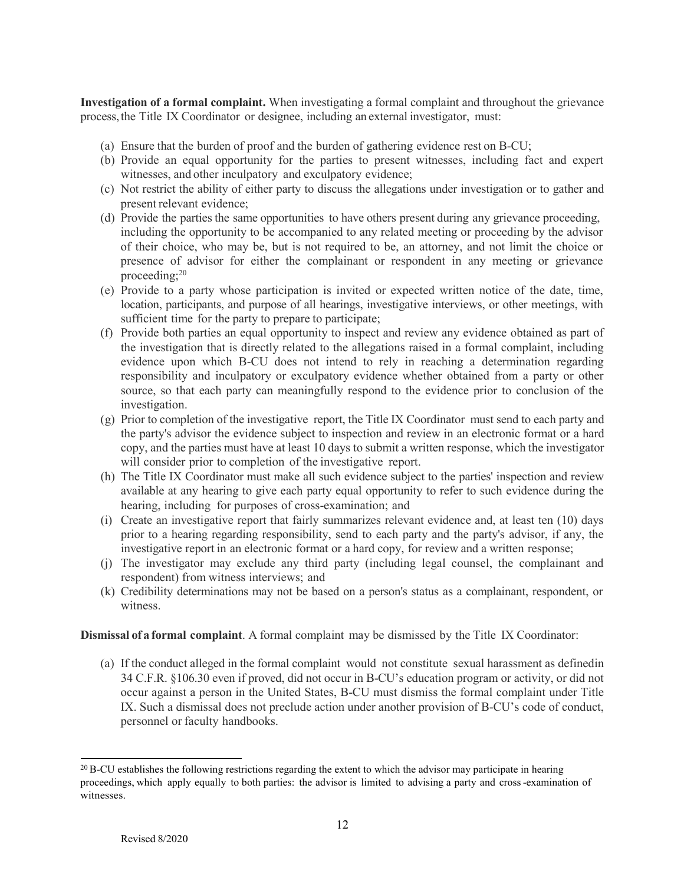**Investigation of a formal complaint.** When investigating a formal complaint and throughout the grievance process,the Title IX Coordinator or designee, including an external investigator, must:

- (a) Ensure that the burden of proof and the burden of gathering evidence rest on B-CU;
- (b) Provide an equal opportunity for the parties to present witnesses, including fact and expert witnesses, and other inculpatory and exculpatory evidence;
- (c) Not restrict the ability of either party to discuss the allegations under investigation or to gather and present relevant evidence;
- (d) Provide the parties the same opportunities to have others present during any grievance proceeding, including the opportunity to be accompanied to any related meeting or proceeding by the advisor of their choice, who may be, but is not required to be, an attorney, and not limit the choice or presence of advisor for either the complainant or respondent in any meeting or grievance proceeding;<sup>20</sup>
- (e) Provide to a party whose participation is invited or expected written notice of the date, time, location, participants, and purpose of all hearings, investigative interviews, or other meetings, with sufficient time for the party to prepare to participate;
- (f) Provide both parties an equal opportunity to inspect and review any evidence obtained as part of the investigation that is directly related to the allegations raised in a formal complaint, including evidence upon which B-CU does not intend to rely in reaching a determination regarding responsibility and inculpatory or exculpatory evidence whether obtained from a party or other source, so that each party can meaningfully respond to the evidence prior to conclusion of the investigation.
- (g) Prior to completion of the investigative report, the Title IX Coordinator must send to each party and the party's advisor the evidence subject to inspection and review in an electronic format or a hard copy, and the parties must have at least 10 days to submit a written response, which the investigator will consider prior to completion of the investigative report.
- (h) The Title IX Coordinator must make all such evidence subject to the parties' inspection and review available at any hearing to give each party equal opportunity to refer to such evidence during the hearing, including for purposes of cross-examination; and
- (i) Create an investigative report that fairly summarizes relevant evidence and, at least ten (10) days prior to a hearing regarding responsibility, send to each party and the party's advisor, if any, the investigative report in an electronic format or a hard copy, for review and a written response;
- (j) The investigator may exclude any third party (including legal counsel, the complainant and respondent) from witness interviews; and
- (k) Credibility determinations may not be based on a person's status as a complainant, respondent, or witness.

**Dismissal of a formal complaint**. A formal complaint may be dismissed by the Title IX Coordinator:

(a) If the conduct alleged in the formal complaint would not constitute sexual harassment as definedin 34 C.F.R. §106.30 even if proved, did not occur in B-CU's education program or activity, or did not occur against a person in the United States, B-CU must dismiss the formal complaint under Title IX. Such a dismissal does not preclude action under another provision of B-CU's code of conduct, personnel or faculty handbooks.

 $20$  B-CU establishes the following restrictions regarding the extent to which the advisor may participate in hearing proceedings, which apply equally to both parties: the advisor is limited to advising a party and cross-examination of witnesses.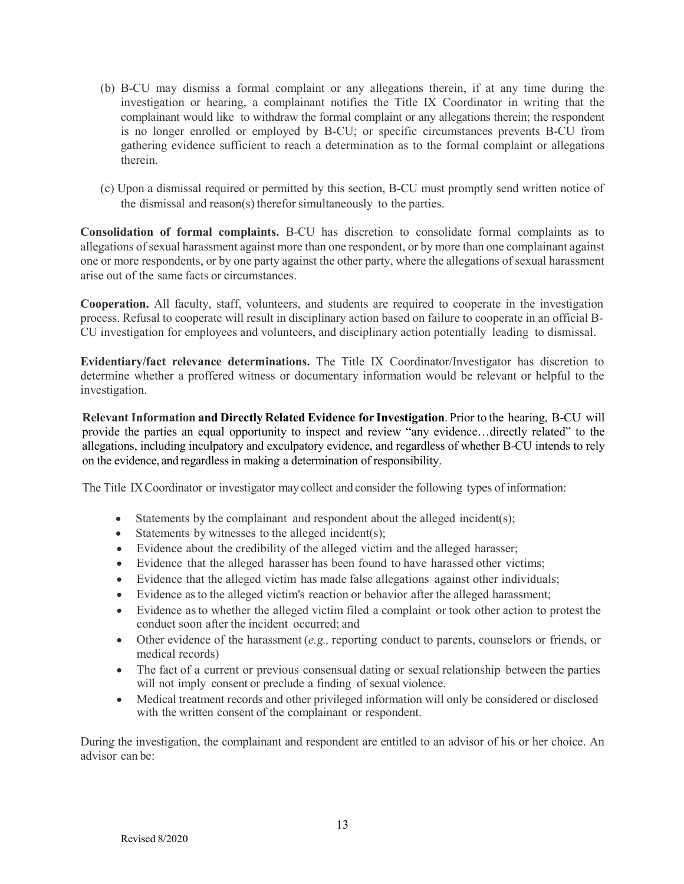- (b) B-CU may dismiss a formal complaint or any allegations therein, if at any time during the investigation or hearing, a complainant notifies the Title IX Coordinator in writing that the complainant would like to withdraw the formal complaint or any allegations therein; the respondent is no longer enrolled or employed by B-CU; or specific circumstances prevents B-CU from gathering evidence sufficient to reach a determination as to the formal complaint or allegations therein.
- (c) Upon a dismissal required or permitted by this section, B-CU must promptly send written notice of the dismissal and reason(s) therefor simultaneously to the parties.

**Consolidation of formal complaints.** B-CU has discretion to consolidate formal complaints as to allegations of sexual harassment against more than one respondent, or by more than one complainant against one or more respondents, or by one party against the other party, where the allegations of sexual harassment arise out of the same facts or circumstances.

**Cooperation.** All faculty, staff, volunteers, and students are required to cooperate in the investigation process. Refusal to cooperate will result in disciplinary action based on failure to cooperate in an official B-CU investigation for employees and volunteers, and disciplinary action potentially leading to dismissal.

**Evidentiary/fact relevance determinations.** The Title IX Coordinator/Investigator has discretion to determine whether a proffered witness or documentary information would be relevant or helpful to the investigation.

**Relevant Information and Directly Related Evidence for Investigation**. Prior to the hearing, B-CU will provide the parties an equal opportunity to inspect and review "any evidence…directly related" to the allegations, including inculpatory and exculpatory evidence, and regardless of whether B-CU intends to rely on the evidence, and regardless in making a determination of responsibility.

The Title IXCoordinator or investigator may collect and consider the following types of information:

- Statements by the complainant and respondent about the alleged incident(s);
- Statements by witnesses to the alleged incident(s);
- Evidence about the credibility of the alleged victim and the alleged harasser;
- Evidence that the alleged harasser has been found to have harassed other victims;
- Evidence that the alleged victim has made false allegations against other individuals;
- Evidence asto the alleged victim's reaction or behavior after the alleged harassment;
- Evidence asto whether the alleged victim filed a complaint or took other action to protest the conduct soon after the incident occurred; and
- Other evidence of the harassment (*e.g.,* reporting conduct to parents, counselors or friends, or medical records)
- The fact of a current or previous consensual dating or sexual relationship between the parties will not imply consent or preclude a finding of sexual violence.
- Medical treatment records and other privileged information will only be considered or disclosed with the written consent of the complainant or respondent.

During the investigation, the complainant and respondent are entitled to an advisor of his or her choice. An advisor can be: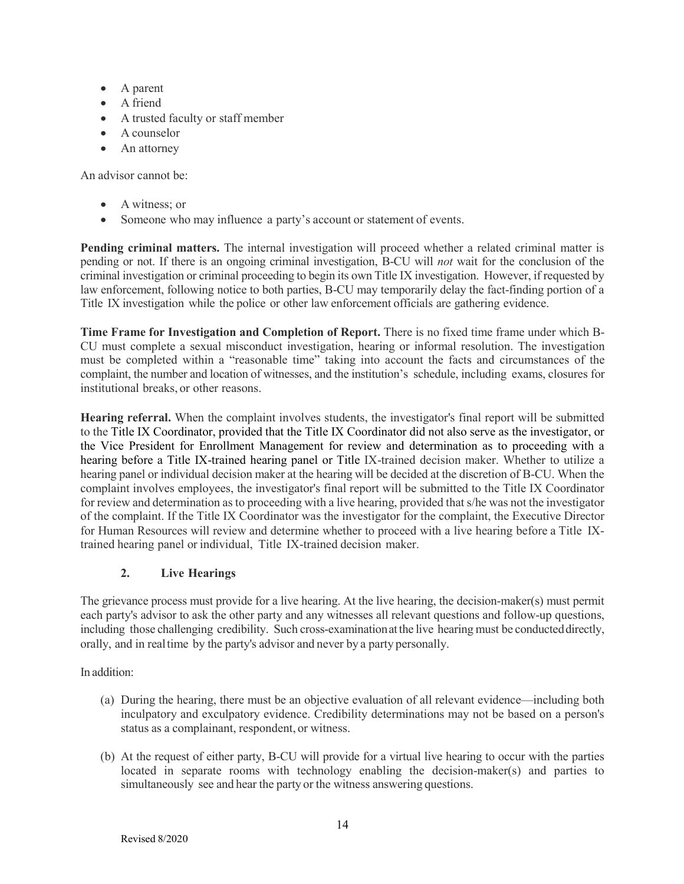- A parent
- A friend
- A trusted faculty or staff member
- A counselor
- An attorney

An advisor cannot be:

- A witness: or
- Someone who may influence a party's account or statement of events.

**Pending criminal matters.** The internal investigation will proceed whether a related criminal matter is pending or not. If there is an ongoing criminal investigation, B-CU will *not* wait for the conclusion of the criminal investigation or criminal proceeding to begin its own Title IX investigation. However, if requested by law enforcement, following notice to both parties, B-CU may temporarily delay the fact-finding portion of a Title IX investigation while the police or other law enforcement officials are gathering evidence.

**Time Frame for Investigation and Completion of Report.** There is no fixed time frame under which B-CU must complete a sexual misconduct investigation, hearing or informal resolution. The investigation must be completed within a "reasonable time" taking into account the facts and circumstances of the complaint, the number and location of witnesses, and the institution's schedule, including exams, closures for institutional breaks, or other reasons.

**Hearing referral.** When the complaint involves students, the investigator's final report will be submitted to the Title IX Coordinator, provided that the Title IX Coordinator did not also serve as the investigator, or the Vice President for Enrollment Management for review and determination as to proceeding with a hearing before a Title IX-trained hearing panel or Title IX-trained decision maker. Whether to utilize a hearing panel or individual decision maker at the hearing will be decided at the discretion of B-CU. When the complaint involves employees, the investigator's final report will be submitted to the Title IX Coordinator for review and determination as to proceeding with a live hearing, provided that s/he was not the investigator of the complaint. If the Title IX Coordinator was the investigator for the complaint, the Executive Director for Human Resources will review and determine whether to proceed with a live hearing before a Title IXtrained hearing panel or individual, Title IX-trained decision maker.

# **2. Live Hearings**

The grievance process must provide for a live hearing. At the live hearing, the decision-maker(s) must permit each party's advisor to ask the other party and any witnesses all relevant questions and follow-up questions, including those challenging credibility. Such cross-examinationatthe live hearing must be conducteddirectly, orally, and in realtime by the party's advisor and never by a party personally.

In addition:

- (a) During the hearing, there must be an objective evaluation of all relevant evidence—including both inculpatory and exculpatory evidence. Credibility determinations may not be based on a person's status as a complainant, respondent, or witness.
- (b) At the request of either party, B-CU will provide for a virtual live hearing to occur with the parties located in separate rooms with technology enabling the decision-maker(s) and parties to simultaneously see and hear the party or the witness answering questions.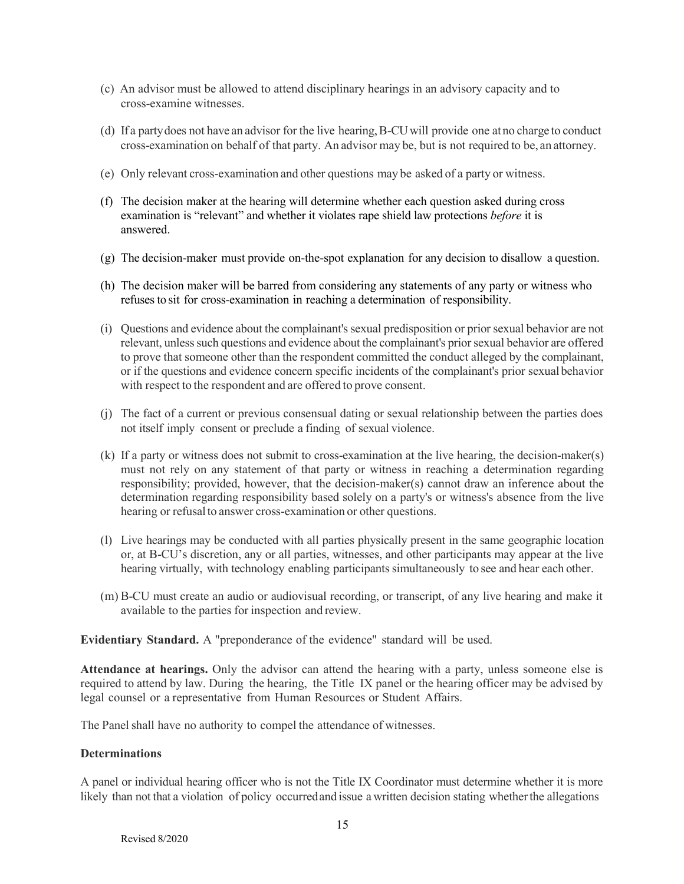- (c) An advisor must be allowed to attend disciplinary hearings in an advisory capacity and to cross-examine witnesses.
- (d) If a partydoes not have an advisor for the live hearing,B-CUwill provide one atno charge to conduct cross-examination on behalf of that party. An advisor may be, but is not required to be, an attorney.
- (e) Only relevant cross-examination and other questions may be asked of a party or witness.
- (f) The decision maker at the hearing will determine whether each question asked during cross examination is "relevant" and whether it violates rape shield law protections *before* it is answered.
- (g) The decision-maker must provide on-the-spot explanation for any decision to disallow a question.
- (h) The decision maker will be barred from considering any statements of any party or witness who refuses to sit for cross-examination in reaching a determination of responsibility.
- (i) Questions and evidence about the complainant's sexual predisposition or prior sexual behavior are not relevant, unless such questions and evidence about the complainant's prior sexual behavior are offered to prove that someone other than the respondent committed the conduct alleged by the complainant, or if the questions and evidence concern specific incidents of the complainant's prior sexualbehavior with respect to the respondent and are offered to prove consent.
- (j) The fact of a current or previous consensual dating or sexual relationship between the parties does not itself imply consent or preclude a finding of sexual violence.
- (k) If a party or witness does not submit to cross-examination at the live hearing, the decision-maker(s) must not rely on any statement of that party or witness in reaching a determination regarding responsibility; provided, however, that the decision-maker(s) cannot draw an inference about the determination regarding responsibility based solely on a party's or witness's absence from the live hearing or refusal to answer cross-examination or other questions.
- (l) Live hearings may be conducted with all parties physically present in the same geographic location or, at B-CU's discretion, any or all parties, witnesses, and other participants may appear at the live hearing virtually, with technology enabling participants simultaneously to see and hear each other.
- (m) B-CU must create an audio or audiovisual recording, or transcript, of any live hearing and make it available to the parties for inspection and review.

### **Evidentiary Standard.** A "preponderance of the evidence" standard will be used.

**Attendance at hearings.** Only the advisor can attend the hearing with a party, unless someone else is required to attend by law. During the hearing, the Title IX panel or the hearing officer may be advised by legal counsel or a representative from Human Resources or Student Affairs.

The Panel shall have no authority to compel the attendance of witnesses.

#### **Determinations**

A panel or individual hearing officer who is not the Title IX Coordinator must determine whether it is more likely than not that a violation of policy occurredand issue awritten decision stating whetherthe allegations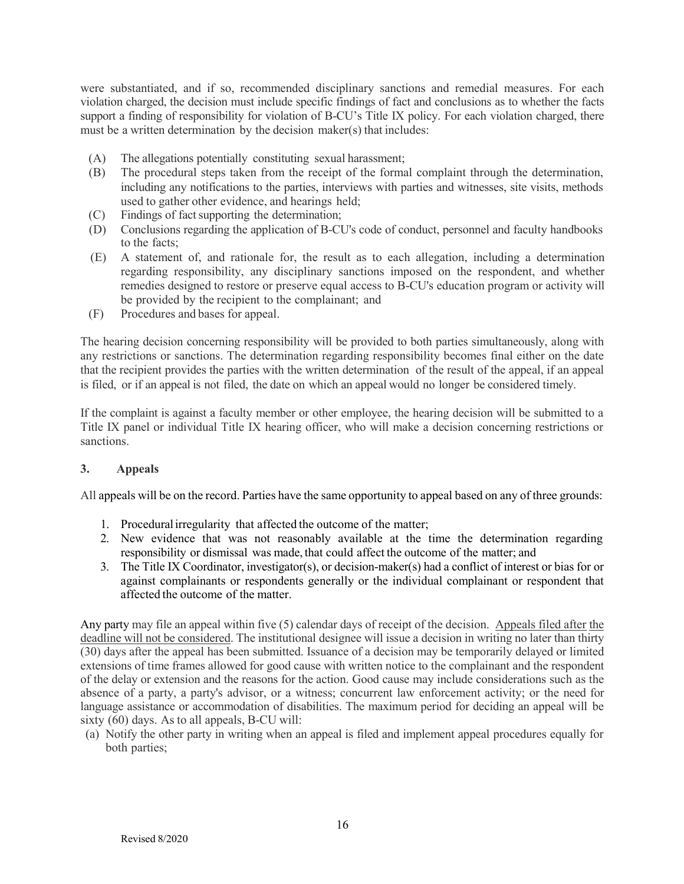were substantiated, and if so, recommended disciplinary sanctions and remedial measures. For each violation charged, the decision must include specific findings of fact and conclusions as to whether the facts support a finding of responsibility for violation of B-CU's Title IX policy. For each violation charged, there must be a written determination by the decision maker(s) that includes:

- (A) The allegations potentially constituting sexual harassment;
- (B) The procedural steps taken from the receipt of the formal complaint through the determination, including any notifications to the parties, interviews with parties and witnesses, site visits, methods used to gather other evidence, and hearings held;
- (C) Findings of fact supporting the determination;
- (D) Conclusions regarding the application of B-CU's code of conduct, personnel and faculty handbooks to the facts;
- (E) A statement of, and rationale for, the result as to each allegation, including a determination regarding responsibility, any disciplinary sanctions imposed on the respondent, and whether remedies designed to restore or preserve equal access to B-CU's education program or activity will be provided by the recipient to the complainant; and
- (F) Procedures and bases for appeal.

The hearing decision concerning responsibility will be provided to both parties simultaneously, along with any restrictions or sanctions. The determination regarding responsibility becomes final either on the date that the recipient provides the parties with the written determination of the result of the appeal, if an appeal is filed, or if an appeal is not filed, the date on which an appeal would no longer be considered timely.

If the complaint is against a faculty member or other employee, the hearing decision will be submitted to a Title IX panel or individual Title IX hearing officer, who will make a decision concerning restrictions or sanctions.

### **3. Appeals**

All appeals will be on the record. Parties have the same opportunity to appeal based on any of three grounds:

- 1. Proceduralirregularity that affected the outcome of the matter;
- 2. New evidence that was not reasonably available at the time the determination regarding responsibility or dismissal was made, that could affect the outcome of the matter; and
- 3. The Title IX Coordinator, investigator(s), or decision-maker(s) had a conflict of interest or bias for or against complainants or respondents generally or the individual complainant or respondent that affected the outcome of the matter.

Any party may file an appeal within five (5) calendar days of receipt of the decision. Appeals filed after the deadline will not be considered. The institutional designee will issue a decision in writing no later than thirty (30) days after the appeal has been submitted. Issuance of a decision may be temporarily delayed or limited extensions of time frames allowed for good cause with written notice to the complainant and the respondent of the delay or extension and the reasons for the action. Good cause may include considerations such as the absence of a party, a party's advisor, or a witness; concurrent law enforcement activity; or the need for language assistance or accommodation of disabilities. The maximum period for deciding an appeal will be sixty (60) days. As to all appeals, B-CU will:

(a) Notify the other party in writing when an appeal is filed and implement appeal procedures equally for both parties;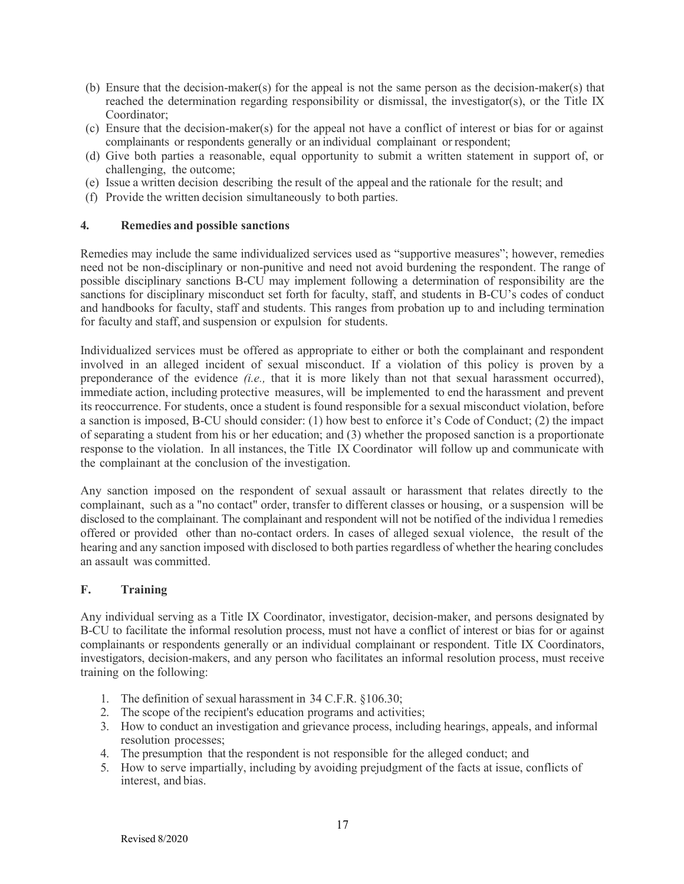- (b) Ensure that the decision-maker(s) for the appeal is not the same person as the decision-maker(s) that reached the determination regarding responsibility or dismissal, the investigator(s), or the Title IX Coordinator;
- (c) Ensure that the decision-maker(s) for the appeal not have a conflict of interest or bias for or against complainants or respondents generally or an individual complainant or respondent;
- (d) Give both parties a reasonable, equal opportunity to submit a written statement in support of, or challenging, the outcome;
- (e) Issue a written decision describing the result of the appeal and the rationale for the result; and
- (f) Provide the written decision simultaneously to both parties.

### **4. Remedies and possible sanctions**

Remedies may include the same individualized services used as "supportive measures"; however, remedies need not be non-disciplinary or non-punitive and need not avoid burdening the respondent. The range of possible disciplinary sanctions B-CU may implement following a determination of responsibility are the sanctions for disciplinary misconduct set forth for faculty, staff, and students in B-CU's codes of conduct and handbooks for faculty, staff and students. This ranges from probation up to and including termination for faculty and staff, and suspension or expulsion for students.

Individualized services must be offered as appropriate to either or both the complainant and respondent involved in an alleged incident of sexual misconduct. If a violation of this policy is proven by a preponderance of the evidence *(i.e.,* that it is more likely than not that sexual harassment occurred), immediate action, including protective measures, will be implemented to end the harassment and prevent its reoccurrence. For students, once a student is found responsible for a sexual misconduct violation, before a sanction is imposed, B-CU should consider: (1) how best to enforce it's Code of Conduct; (2) the impact of separating a student from his or her education; and (3) whether the proposed sanction is a proportionate response to the violation. In all instances, the Title IX Coordinator will follow up and communicate with the complainant at the conclusion of the investigation.

Any sanction imposed on the respondent of sexual assault or harassment that relates directly to the complainant, such as a "no contact" order, transfer to different classes or housing, or a suspension will be disclosed to the complainant. The complainant and respondent will not be notified of the individua l remedies offered or provided other than no-contact orders. In cases of alleged sexual violence, the result of the hearing and any sanction imposed with disclosed to both parties regardless of whether the hearing concludes an assault was committed.

### **F. Training**

Any individual serving as a Title IX Coordinator, investigator, decision-maker, and persons designated by B-CU to facilitate the informal resolution process, must not have a conflict of interest or bias for or against complainants or respondents generally or an individual complainant or respondent. Title IX Coordinators, investigators, decision-makers, and any person who facilitates an informal resolution process, must receive training on the following:

- 1. The definition of sexual harassment in 34 C.F.R. §106.30;
- 2. The scope of the recipient's education programs and activities;
- 3. How to conduct an investigation and grievance process, including hearings, appeals, and informal resolution processes;
- 4. The presumption that the respondent is not responsible for the alleged conduct; and
- 5. How to serve impartially, including by avoiding prejudgment of the facts at issue, conflicts of interest, and bias.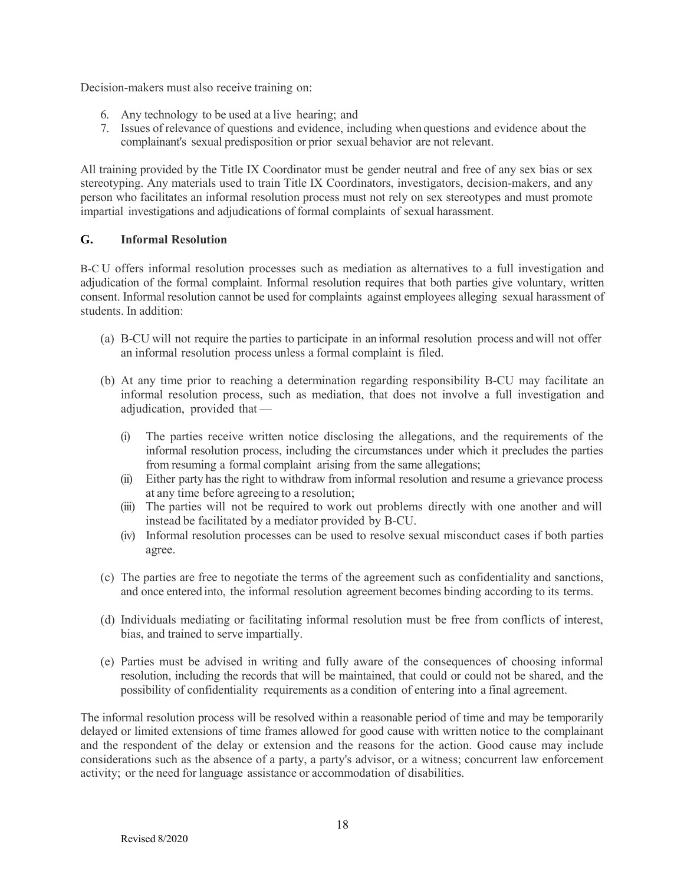Decision-makers must also receive training on:

- 6. Any technology to be used at a live hearing; and
- 7. Issues of relevance of questions and evidence, including when questions and evidence about the complainant's sexual predisposition or prior sexual behavior are not relevant.

All training provided by the Title IX Coordinator must be gender neutral and free of any sex bias or sex stereotyping. Any materials used to train Title IX Coordinators, investigators, decision-makers, and any person who facilitates an informal resolution process must not rely on sex stereotypes and must promote impartial investigations and adjudications of formal complaints of sexual harassment.

### **G. Informal Resolution**

B-C U offers informal resolution processes such as mediation as alternatives to a full investigation and adjudication of the formal complaint. Informal resolution requires that both parties give voluntary, written consent. Informal resolution cannot be used for complaints against employees alleging sexual harassment of students. In addition:

- (a) B-CU will not require the parties to participate in an informal resolution process and will not offer an informal resolution process unless a formal complaint is filed.
- (b) At any time prior to reaching a determination regarding responsibility B-CU may facilitate an informal resolution process, such as mediation, that does not involve a full investigation and adjudication, provided that —
	- (i) The parties receive written notice disclosing the allegations, and the requirements of the informal resolution process, including the circumstances under which it precludes the parties from resuming a formal complaint arising from the same allegations;
	- (ii) Either party has the right to withdraw from informal resolution and resume a grievance process at any time before agreeing to a resolution;
	- (iii) The parties will not be required to work out problems directly with one another and will instead be facilitated by a mediator provided by B-CU.
	- (iv) Informal resolution processes can be used to resolve sexual misconduct cases if both parties agree.
- (c) The parties are free to negotiate the terms of the agreement such as confidentiality and sanctions, and once entered into, the informal resolution agreement becomes binding according to its terms.
- (d) Individuals mediating or facilitating informal resolution must be free from conflicts of interest, bias, and trained to serve impartially.
- (e) Parties must be advised in writing and fully aware of the consequences of choosing informal resolution, including the records that will be maintained, that could or could not be shared, and the possibility of confidentiality requirements as a condition of entering into a final agreement.

The informal resolution process will be resolved within a reasonable period of time and may be temporarily delayed or limited extensions of time frames allowed for good cause with written notice to the complainant and the respondent of the delay or extension and the reasons for the action. Good cause may include considerations such as the absence of a party, a party's advisor, or a witness; concurrent law enforcement activity; or the need for language assistance or accommodation of disabilities.